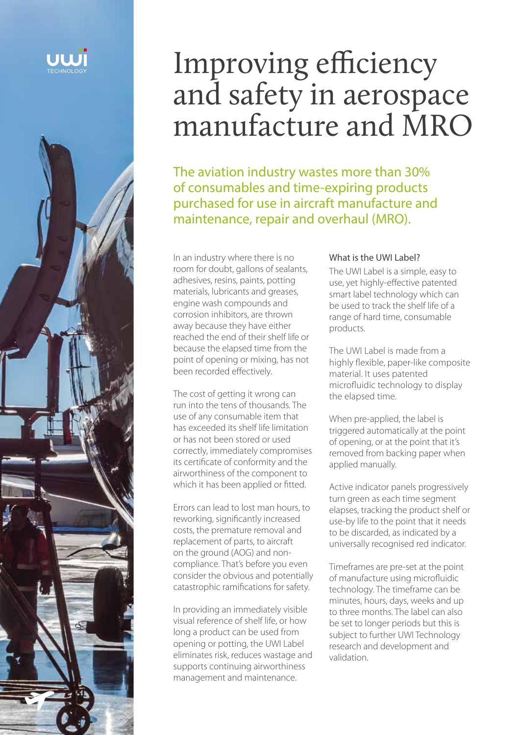



# Improving efficiency and safety in aerospace manufacture and MRO

The aviation industry wastes more than 30% of consumables and time-expiring products purchased for use in aircraft manufacture and maintenance, repair and overhaul (MRO).

In an industry where there is no room for doubt, gallons of sealants, adhesives, resins, paints, potting materials, lubricants and greases, engine wash compounds and corrosion inhibitors, are thrown away because they have either reached the end of their shelf life or because the elapsed time from the point of opening or mixing, has not been recorded effectively.

The cost of getting it wrong can run into the tens of thousands. The use of any consumable item that has exceeded its shelf life limitation or has not been stored or used correctly, immediately compromises its certificate of conformity and the airworthiness of the component to which it has been applied or fitted.

Errors can lead to lost man hours, to reworking, significantly increased costs, the premature removal and replacement of parts, to aircraft on the ground (AOG) and noncompliance. That's before you even consider the obvious and potentially catastrophic ramifications for safety.

In providing an immediately visible visual reference of shelf life, or how long a product can be used from opening or potting, the UWI Label eliminates risk, reduces wastage and supports continuing airworthiness management and maintenance.

#### What is the UWI Label?

The UWI Label is a simple, easy to use, yet highly-effective patented smart label technology which can be used to track the shelf life of a range of hard time, consumable products.

The UWI Label is made from a highly flexible, paper-like composite material. It uses patented microfluidic technology to display the elapsed time.

When pre-applied, the label is triggered automatically at the point of opening, or at the point that it's removed from backing paper when applied manually.

Active indicator panels progressively turn green as each time segment elapses, tracking the product shelf or use-by life to the point that it needs to be discarded, as indicated by a universally recognised red indicator.

Timeframes are pre-set at the point of manufacture using microfluidic technology. The timeframe can be minutes, hours, days, weeks and up to three months. The label can also be set to longer periods but this is subject to further UWI Technology research and development and validation.